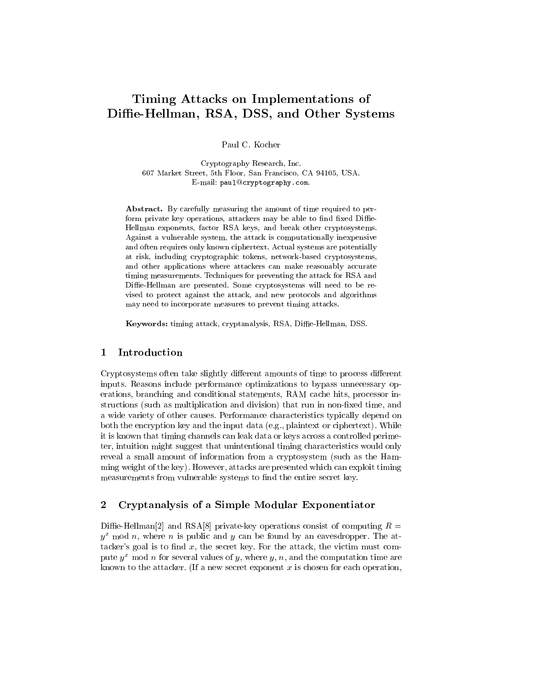# Timing Attacks on Implementations of Diffie-Hellman, RSA, DSS, and Other Systems

Paul C. Kocher

Cryptography Research, Inc. 607 Market Street, 5th Floor, San Francisco, CA 94105, USA. E-mail: paul@cryptography.com.

Abstract. By carefully measuring the amount of time required to perform private key operations, attackers may be able to find fixed Diffie-Hellman exponents, factor RSA keys, and break other cryptosystems. Against a vulnerable system, the attack is computationally inexpensive and often requires only known ciphertext. Actual systems are potentially at risk, including cryptographic tokens, network-based cryptosystems, and other applications where attackers can make reasonably accurate timing measurements. Techniques for preventing the attack for RSA and Diffie-Hellman are presented. Some cryptosystems will need to be revised to protect against the attack, and new protocols and algorithms may need to incorporate measures to prevent timing attacks.

Keywords: timing attack, cryptanalysis, RSA, Diffie-Hellman, DSS.

#### $\mathbf 1$ **Introduction**

Cryptosystems often take slightly different amounts of time to process different inputs. Reasons include performance optimizations to bypass unnecessary operations, branching and conditional statements, RAM cache hits, processor instructions (such as multiplication and division) that run in non-fixed time, and a wide variety of other causes. Performance characteristics typically depend on both the encryption key and the input data (e.g., plaintext or ciphertext). While it is known that timing channels can leak data or keys across a controlled perimeter, intuition might suggest that unintentional timing characteristics would only reveal a small amount of information from a cryptosystem (such as the Hamming weight of the key). However, attacks are presented which can exploit timing measurements from vulnerable systems to find the entire secret key.

## 2 Cryptanalysis of a Simple Modular Exponentiator

Diffie-Hellman<sup>[2]</sup> and RSA<sup>[8]</sup> private-key operations consist of computing  $R =$  $y^{\perp}$  mod  $n$ , where  $n$  is public and  $y$  can be found by an eavesdropper. The attacker's goal is to find  $x$ , the secret key. For the attack, the victim must compute  $y^x$  mod n for several values of y, where y, n, and the computation time are known to the attacker. (If a new secret exponent  $x$  is chosen for each operation,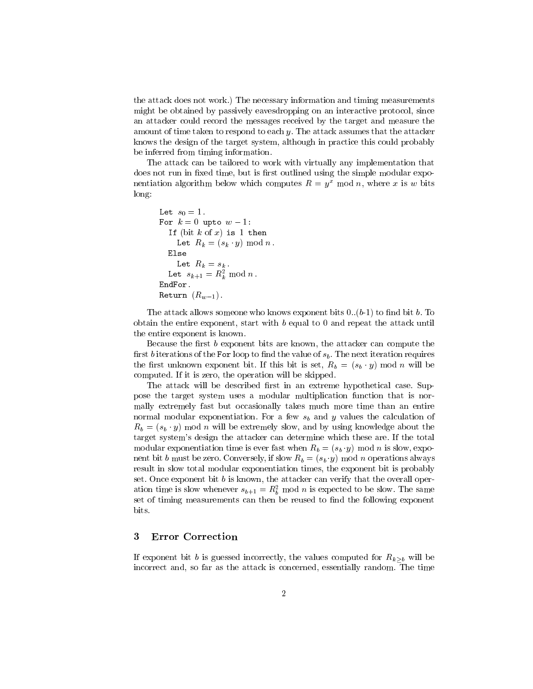the attack does not work.) The necessary information and timing measurements might be obtained by passively eavesdropping on an interactive protocol, since an attacker could record the messages received by the target and measure the amount of time taken to respond to each y. The attack assumes that the attacker knows the design of the target system, although in practice this could probably be inferred from timing information.

The attack can be tailored to work with virtually any implementation that does not run in fixed time, but is first outlined using the simple modular exponentiation algorithm below which computes  $R = y^x \text{ mod } n$ , where x is w bits long:

```
Let s_0 = 1.
For k = 0 upto w - 1:
  If (bit k of x) is 1 then
    Let R_k = (s_k \cdot y) \text{ mod } n.
  Else
    Let R_k = s_k.
  Let s_{k+1}=n_{\bar{k}} mod n.
EndFor.
Return (R_{w-1}).
```
The attack allows someone who knows exponent bits  $0..(b-1)$  to find bit b. To obtain the entire exponent, start with  $b$  equal to 0 and repeat the attack until the entire exponent is known.

Because the first  $b$  exponent bits are known, the attacker can compute the first b iterations of the For loop to find the value of  $s<sub>b</sub>$ . The next iteration requires the first unknown exponent bit. If this bit is set,  $R_b = (s_b \cdot y) \mod n$  will be computed. If it is zero, the operation will be skipped.

The attack will be described first in an extreme hypothetical case. Suppose the target system uses a modular multiplication function that is normally extremely fast but occasionally takes much more time than an entire normal modular exponentiation. For a few  $s_b$  and y values the calculation of  $R_b = (s_b \cdot y)$  mod n will be extremely slow, and by using knowledge about the target system's design the attacker can determine which these are. If the total modular exponentiation time is ever fast when  $R_b = (s_b \cdot y) \text{ mod } n$  is slow, exponent bit b must be zero. Conversely, if slow  $R_b = (s_b \cdot y)$  mod n operations always result in slow total modular exponentiation times, the exponent bit is probably set. Once exponent bit  $b$  is known, the attacker can verify that the overall operation time is slow whenever  $s_{b+1} = n_b$  mod n is expected to be slow. The same set of timing measurements can then be reused to find the following exponent bits.

If exponent bit b is guessed incorrectly, the values computed for  $R_{k>b}$  will be incorrect and, so far as the attack is concerned, essentially random. The time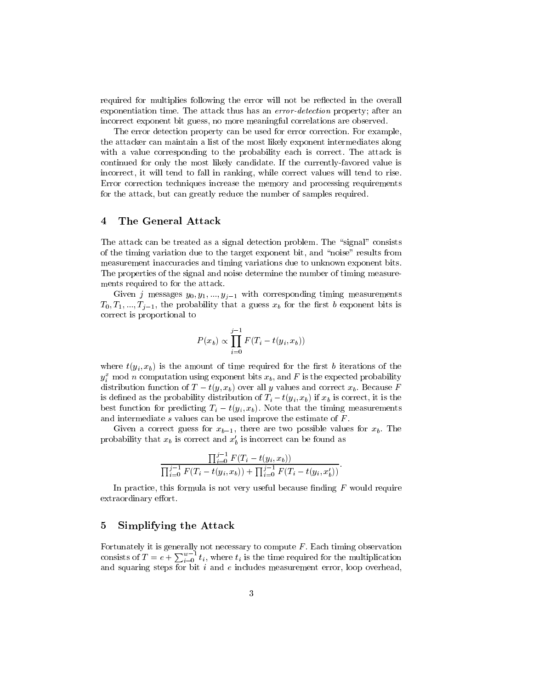required for multiplies following the error will not be reflected in the overall exponentiation time. The attack thus has an error-detection property; after an incorrect exponent bit guess, no more meaningful correlations are observed.

The error detection property can be used for error correction. For example, the attacker can maintain a list of the most likely exponent intermediates along with a value corresponding to the probability each is correct. The attack is continued for only the most likely candidate. If the currently-favored value is incorrect, it will tend to fall in ranking, while correct values will tend to rise. Error correction techniques increase the memory and processing requirements for the attack, but can greatly reduce the number of samples required.

### $\overline{4}$ The General Attack

The attack can be treated as a signal detection problem. The "signal" consists of the timing variation due to the target exponent bit, and \noise" results from measurement inaccuracies and timing variations due to unknown exponent bits. The properties of the signal and noise determine the number of timing measurements required to for the attack.

Given j messages  $y_0, y_1, ..., y_{j-1}$  with corresponding timing measurements  $T_0, T_1, \ldots, T_{j-1}$ , the probability that a guess  $x_b$  for the first b exponent bits is correct is proportional to

$$
P(x_b) \propto \prod_{i=0}^{j-1} F(T_i - t(y_i, x_b))
$$

where  $t(y_i, x_b)$  is the amount of time required for the first b iterations of the  $y_i^+$  mod n computation using exponent bits  $x_b$ , and F is the expected probability distribution function of  $T - t(y, x_b)$  over all y values and correct  $x_b$ . Because F is defined as the probability distribution of  $T_i - t(y_i, x_b)$  if  $x_b$  is correct, it is the best function for predicting  $T_i - t(y_i, x_b)$ . Note that the timing measurements and intermediate s values can be used improve the estimate of F.

Given a correct guess for  $x_{b-1}$ , there are two possible values for  $x_b$ . The probability that  $x_b$  is correct and  $x_b$  is incorrect can be found as

$$
\frac{\prod_{i=0}^{j-1} F(T_i - t(y_i, x_b))}{\prod_{i=0}^{j-1} F(T_i - t(y_i, x_b)) + \prod_{i=0}^{j-1} F(T_i - t(y_i, x'_b))}.
$$

In practice, this formula is not very useful because finding  $F$  would require extraordinary effort.

### 5 Simplifying the Attack

consists of  $T = e + \sum_{i=0}^{w-1} t_i$ , where  $t_i$  is the time required for the multiplication and squaring steps for bit  $i$  and  $e$  includes measurement error, loop overhead,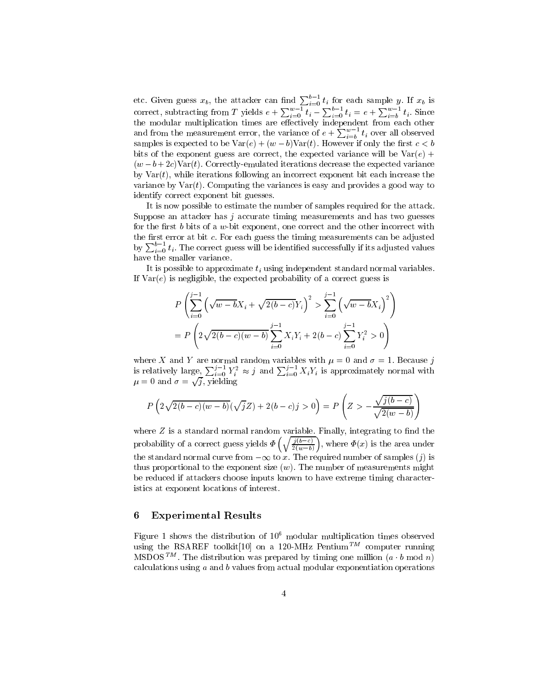etc. Given guess  $x_b$ , the attacker can find  $\sum_{i=0}^{v-1} t_i$  for each sample y. If  $x_b$  is correct, subtracting from T yields  $e + \sum_{i=0}^{w-1} t_i - \sum_{i=0}^{b-1} t_i = e + \sum_{i=b}^{w-1} t_i$ . Since the modular multiplication times are eectively independent from each other and from the measurement error, the variance of  $e + \sum_{i=0}^{w-1} t_i$  over all observed samples is expected to be  $Var(e) + (w - b)Var(t)$ . However if only the first  $c < b$ bits of the exponent guess are correct, the expected variance will be  $Var(e)$  +  $(w - b + 2c)$ Var(t). Correctly-emulated iterations decrease the expected variance by  $Var(t)$ , while iterations following an incorrect exponent bit each increase the variance by  $\text{Var}(t)$ . Computing the variances is easy and provides a good way to identify correct exponent bit guesses.

It is now possible to estimate the number of samples required for the attack. Suppose an attacker has <sup>j</sup> accurate timing measurements and has two guesses for the first b bits of a w-bit exponent, one correct and the other incorrect with the first error at bit  $c$ . For each guess the timing measurements can be adjusted by  $\sum_{i=0}^{v-1} t_i$ . The correct guess will be identified successfully if its adjusted values have the smaller variance.

It is possible to approximate  $t_i$  using independent standard normal variables. If  $Var(e)$  is negligible, the expected probability of a correct guess is

$$
P\left(\sum_{i=0}^{j-1} \left(\sqrt{w-b}X_i + \sqrt{2(b-c)}Y_i\right)^2 > \sum_{i=0}^{j-1} \left(\sqrt{w-b}X_i\right)^2\right)
$$
  
= 
$$
P\left(2\sqrt{2(b-c)(w-b)}\sum_{i=0}^{j-1} X_iY_i + 2(b-c)\sum_{i=0}^{j-1} Y_i^2 > 0\right)
$$

is relatively large,  $\sum_{i=0}^{j-1} Y_i^2 \approx j$  and  $\sum_{i=0}^{j-1} X_i Y_i$  is approximately normal with  $\mu = 0$  and  $\sigma = \sqrt{j}$ , yielding

$$
P\left(2\sqrt{2(b-c)(w-b)}(\sqrt{j}Z) + 2(b-c)j > 0\right) = P\left(Z > -\frac{\sqrt{j(b-c)}}{\sqrt{2(w-b)}}\right)
$$

where  $Z$  is a standard normal random variable. Finally, integrating to find the probability of a correct guess yields to a complete the  $\left(\sqrt{\frac{j(b-c)}{2(w-b)}}\right)$ , where  $\Phi(x)$  is the area under the standard normal curve from  $-\infty$  to x. The required number of samples (j) is thus proportional to the exponent size  $(w)$ . The number of measurements might be reduced if attackers choose inputs known to have extreme timing characteristics at exponent locations of interest.

### 6 6 Experimental Results

Figure 1 shows the distribution of 106 modular multiplication times observed using the RSAREF toolkit<sup>[10]</sup> on a 120-MHz Pentium<sup>TM</sup> computer running MSDOS<sup>TM</sup>. The distribution was prepared by timing one million  $(a \cdot b \mod n)$ calculations using <sup>a</sup> and <sup>b</sup> values from actual modular exponentiation operations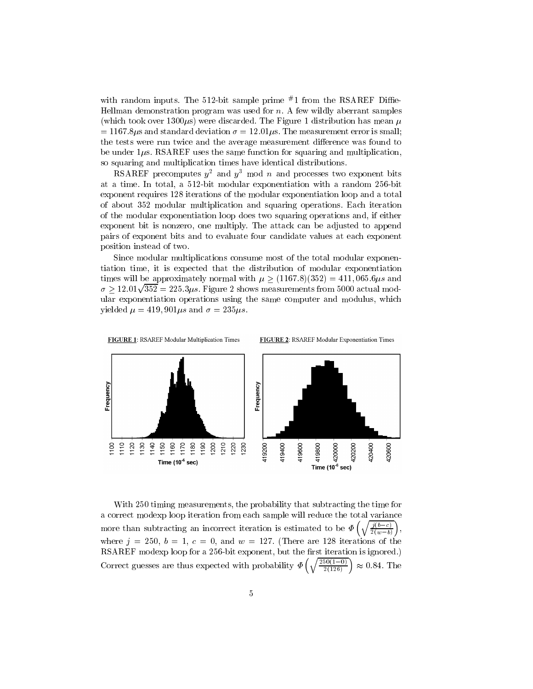with random inputs. The  $912$ -bit sample prime  $^{\prime\prime}$  1 from the RSAREF Dime-Hellman demonstration program was used for  $n$ . A few wildly aberrant samples (which took over 1300 $\mu$ s) were discarded. The Figure 1 distribution has mean  $\mu$  $= 1167.8 \mu s$  and standard deviation  $\sigma = 12.01 \mu s$ . The measurement error is small; the tests were run twice and the average measurement difference was found to be under  $1\mu$ s. RSAREF uses the same function for squaring and multiplication, so squaring and multiplication times have identical distributions.

RSAREF precomputes  $y^2$  and  $y^3$  mod n and processes two exponent bits at a time. In total, a 512-bit modular exponentiation with a random 256-bit exponent requires 128 iterations of the modular exponentiation loop and a total of about 352 modular multiplication and squaring operations. Each iteration of the modular exponentiation loop does two squaring operations and, if either exponent bit is nonzero, one multiply. The attack can be adjusted to append pairs of exponent bits and to evaluate four candidate values at each exponent position instead of two.

Since modular multiplications consume most of the total modular exponentiation time, it is expected that the distribution of modular exponentiation times will be approximately normal with  $\mu > (1167.8)(352) = 411,065.6 \mu s$  and  $\sigma > 12.01 \sqrt{352} = 225.3 \mu s$ . Figure 2 shows measurements from 5000 actual modular exponentiation operations using the same computer and modulus, which yielded  $\mu = 419,901 \mu s$  and  $\sigma = 235 \mu s$ .



With 250 timing measurements, the probability that subtracting the time for a correct modexp loop iteration from each sample will reduce the total variance more than subtracting an incorrect iteration is estimated to be a subtraction is  $\mathbf{r} = \mathbf{r} + \mathbf{r}_0 + \mathbf{r}_1$  $\left(\sqrt{\frac{j(b-c)}{2(w-b)}}\right),$ where  $j = 250, b = 1, c = 0$ , and  $w = 127$ . (There are 128 iterations of the RSAREF modexp loop for a 256-bit exponent, but the first iteration is ignored.) Correct guesses are thus expected with probability  $\left(\sqrt{\frac{250(1-0)}{2(126)}}\right) \approx 0.84$ . The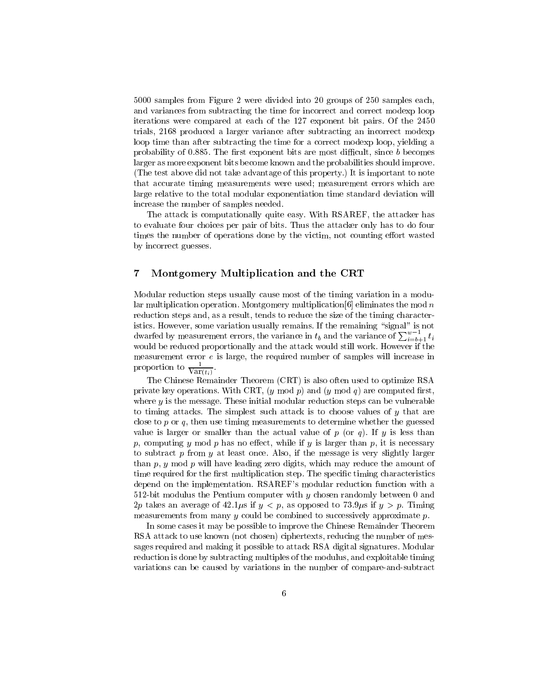5000 samples from Figure 2 were divided into 20 groups of 250 samples each, and variances from subtracting the time for incorrect and correct modexp loop iterations were compared at each of the 127 exponent bit pairs. Of the 2450 trials, 2168 produced a larger variance after subtracting an incorrect modexp loop time than after subtracting the time for a correct modexp loop, yielding a probability of 0.885. The first exponent bits are most difficult, since  $b$  becomes larger as more exponent bits become known and the probabilities should improve. (The test above did not take advantage of this property.) It is important to note that accurate timing measurements were used; measurement errors which are large relative to the total modular exponentiation time standard deviation will increase the number of samples needed.

The attack is computationally quite easy. With RSAREF, the attacker has to evaluate four choices per pair of bits. Thus the attacker only has to do four times the number of operations done by the victim, not counting effort wasted by incorrect guesses.

### 7 Montgomery Multiplication and the CRT

Modular reduction steps usually cause most of the timing variation in a modular multiplication operation. Montgomery multiplication  $[6]$  eliminates the mod n reduction steps and, as a result, tends to reduce the size of the timing characteristics. However, some variation usually remains. If the remaining "signal" is not dwarfed by measurement errors, the variance in  $t_b$  and the variance of  $\sum_{i=b+1}^{w-1} t_i$ would be reduced proportionally and the attack would still work. However if the measurement error <sup>e</sup> is large, the required number of samples will increase in proportion to  $\overline{\text{Var}(t_i)}$ .

The Chinese Remainder Theorem (CRT) is also often used to optimize RSA private key operations. With CRT,  $(y \mod p)$  and  $(y \mod q)$  are computed first. where  $y$  is the message. These initial modular reduction steps can be vulnerable to timing attacks. The simplest such attack is to choose values of  $y$  that are close to p or q, then use timing measurements to determine whether the guessed value is larger or smaller than the actual value of  $p$  (or  $q$ ). If  $y$  is less than p, computing y mod p has no effect, while if y is larger than p, it is necessary to subtract  $p$  from  $y$  at least once. Also, if the message is very slightly larger than  $p, y \mod p$  will have leading zero digits, which may reduce the amount of time required for the first multiplication step. The specific timing characteristics depend on the implementation. RSAREF's modular reduction function with a 512-bit modulus the Pentium computer with  $y$  chosen randomly between 0 and 2p takes an average of 42.1 $\mu$ s if  $y < p$ , as opposed to 73.9 $\mu$ s if  $y > p$ . Timing measurements from many  $y$  could be combined to successively approximate  $p$ .

In some cases it may be possible to improve the Chinese Remainder Theorem RSA attack to use known (not chosen) ciphertexts, reducing the number of messages required and making it possible to attack RSA digital signatures. Modular reduction is done by subtracting multiples of the modulus, and exploitable timing variations can be caused by variations in the number of compare-and-subtract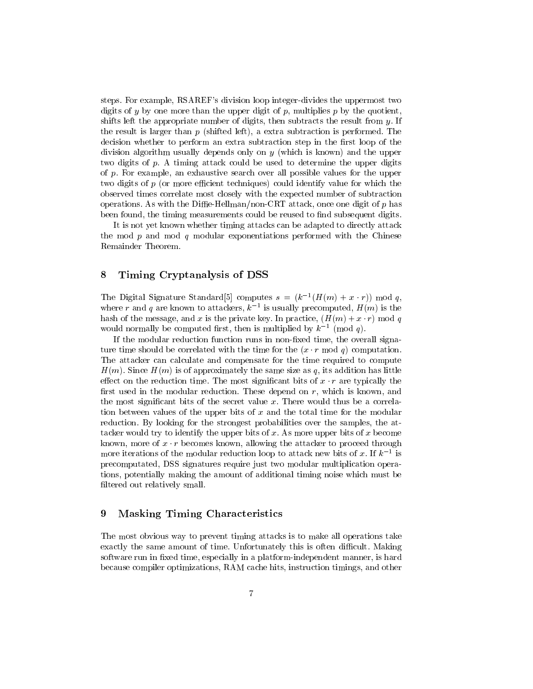steps. For example, RSAREF's division loop integer-divides the uppermost two digits of y by one more than the upper digit of p, multiplies  $p$  by the quotient, shifts left the appropriate number of digits, then subtracts the result from  $y$ . If the result is larger than  $p$  (shifted left), a extra subtraction is performed. The decision whether to perform an extra subtraction step in the first loop of the division algorithm usually depends only on <sup>y</sup> (which is known) and the upper two digits of p. A timing attack could be used to determine the upper digits of p. For example, an exhaustive search over all possible values for the upper two digits of  $p$  (or more efficient techniques) could identify value for which the observed times correlate most closely with the expected number of subtraction operations. As with the Diffie-Hellman/non-CRT attack, once one digit of  $p$  has been found, the timing measurements could be reused to find subsequent digits.

It is not yet known whether timing attacks can be adapted to directly attack the mod  $p$  and mod  $q$  modular exponentiations performed with the Chinese Remainder Theorem.

### 8 8 Timing Cryptanalysis of DSS

The Digital Signature Standard of computes  $s = (\kappa^{-1}(H(m) + x \cdot r))$  mod q, where r and q are known to attackers,  $\kappa$  - is usually precomputed,  $H(m)$  is the would normally be computed first, then is multiplied by  $k^{-1} \pmod{q}$ .

If the modular reduction function runs in non-fixed time, the overall signature time should be correlated with the time for the  $(x \cdot r \mod q)$  computation. The attacker can calculate and compensate for the time required to compute  $H(m)$ . Since  $H(m)$  is of approximately the same size as q, its addition has little effect on the reduction time. The most significant bits of  $x \cdot r$  are typically the first used in the modular reduction. These depend on  $r$ , which is known, and the most signicant bits of the secret value x.There would thus be a correlation between values of the upper bits of  $x$  and the total time for the modular reduction. By looking for the strongest probabilities over the samples, the attacker would try to identify the upper bits of  $x$ . As more upper bits of  $x$  become known, more of  $x \cdot r$  becomes known, allowing the attacker to proceed through more iterations of the modular reduction loop to attack hew bits of x. If  $\kappa$   $\rightarrow$  is precomputated, DSS signatures require just two modular multiplication operations, potentially making the amount of additional timing noise which must be filtered out relatively small.

### 9 Masking Timing Characteristics

The most obvious way to prevent timing attacks is to make all operations take exactly the same amount of time. Unfortunately this is often difficult. Making software run in fixed time, especially in a platform-independent manner, is hard because compiler optimizations, RAM cache hits, instruction timings, and other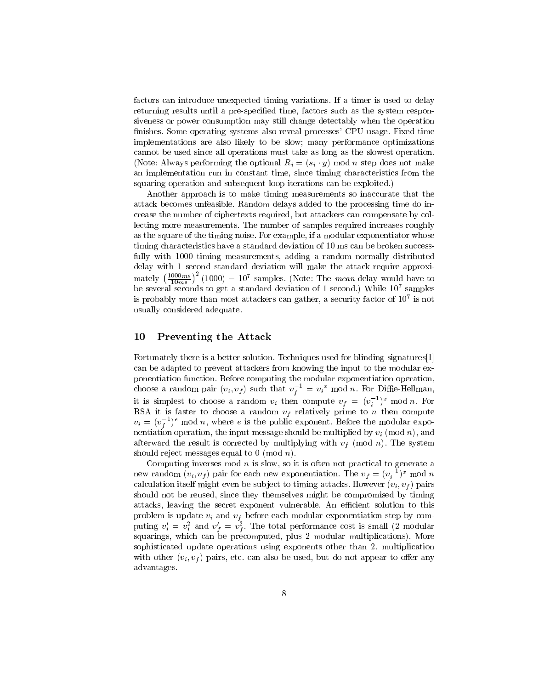factors can introduce unexpected timing variations. If a timer is used to delay returning results until a pre-specified time, factors such as the system responsiveness or power consumption may still change detectably when the operation nishes. Some operating systems also reveal processes' CPU usage. Fixed time implementations are also likely to be slow; many performance optimizations cannot be used since all operations must take as long as the slowest operation. (Note: Always performing the optional  $R_i = (s_i \cdot y) \mod n$  step does not make an implementation run in constant time, since timing characteristics from the squaring operation and subsequent loop iterations can be exploited.)

Another approach is to make timing measurements so inaccurate that the attack becomes unfeasible. Random delays added to the processing time do increase the number of ciphertexts required, but attackers can compensate by collecting more measurements. The number of samples required increases roughly as the square of the timing noise. For example, if a modular exponentiator whose timing characteristics have a standard deviation of 10 ms can be broken successfully with 1000 timing measurements, adding a random normally distributed delay with 1 second standard deviation will make the attack require approximately  $\left(\frac{1000ms}{10ms}\right)^2(1000) = 10^7$  samples. (Note: The *mean* delay would have to be several seconds to get a standard deviation of 1 second.) While 107 samples is probably more than most attackers can gather, a security factor of 107 is not usually considered adequate.

### 10 Preventing the Attack

Fortunately there is a better solution. Techniques used for blinding signatures[1] can be adapted to prevent attackers from knowing the input to the modular exponentiation function. Before computing the modular exponentiation operation, choose a random pair  $(v_i, v_f)$  such that  $v_f^+ = v_i^+$  mod n. For Diffie-Hellman, it is simplest to choose a random  $v_i$  then compute  $v_f = (v_i^{-1})^x$  mod n. For RSA it is faster to choose a random  $v_f$  relatively prime to n then compute  $v_i = (v_f^{-})^{\circ}$  mod n, where e is the public exponent. Before the modular expofor the contract of the contract of the contract of the contract of the contract of the contract of the contract of the contract of the contract of the contract of the contract of the contract of the contract of the contra nentiation operation, the input message should be much measured by the input  $\alpha$  (model is  $\alpha$ ), the model of afterward the result is corrected by multiplying with  $v_f$  (mod n). The system should reject messages equal to 0 (mod n).

Computing inverses mod  $n$  is slow, so it is often not practical to generate a new random  $(v_i, v_f)$  pair for each new exponentiation. The  $v_f = (v_i^{-1})^x$  mod n calculation itself might even be subject to timing attacks. However  $(v_i, v_f)$  pairs should not be reused, since they themselves might be compromised by timing attacks, leaving the secret exponent vulnerable. An efficient solution to this problem is update  $v_i$  and  $v_f$  before each modular exponentiation step by computing  $v_i = v_i$  and  $v_f = v_f$ . The total performance cost is small (2 modular squarings, which can be precomputed, plus 2 modular multiplications). More sophisticated update operations using exponents other than 2, multiplication with other  $(v_i, v_f)$  pairs, etc. can also be used, but do not appear to offer any advantages.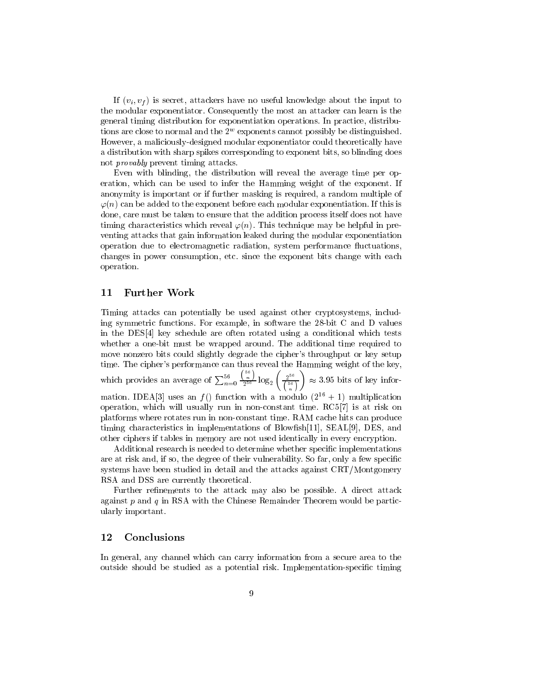If  $(v_i, v_f)$  is secret, attackers have no useful knowledge about the input to the modular exponentiator. Consequently the most an attacker can learn is the general timing distribution for exponentiation operations. In practice, distributions are close to normal and the 2w exponents cannot possibly be distinguished. However, a maliciously-designed modular exponentiator could theoretically have a distribution with sharp spikes corresponding to exponent bits, so blinding does not provably prevent timing attacks.

Even with blinding, the distribution will reveal the average time per operation, which can be used to infer the Hamming weight of the exponent. If anonymity is important or if further masking is required, a random multiple of  $\varphi(n)$  can be added to the exponent before each modular exponentiation. If this is done, care must be taken to ensure that the addition process itself does not have timing characteristics which reveal  $\varphi(n)$ . This technique may be helpful in preventing attacks that gain information leaked during the modular exponentiation operation due to electromagnetic radiation, system performance uctuations, changes in power consumption, etc. since the exponent bits change with each operation.

### 11 Further Work

Timing attacks can potentially be used against other cryptosystems, including symmetric functions. For example, in software the 28-bit C and D values in the DES[4] key schedule are often rotated using a conditional which tests whether a one-bit must be wrapped around. The additional time required to move nonzero bits could slightly degrade the cipher's throughput or key setup time. The cipher's performance can thus reveal the Hamming weight of the key, which provides an average of  $\sum_{n=0}^{56} \frac{\binom{56}{n}}{256} \log_2 \left( \frac{2^{56}}{756} \right) \approx 3.9$  $\left(\frac{2^{56}}{56}\right)^{56} \approx 3.95$  bits of key information. IDEA[3] uses an  $f()$  function with a modulo  $(2^{16} + 1)$  multiplication operation, which will usually run in non-constant time.  $RC5[7]$  is at risk on platforms where rotates run in non-constant time. RAM cache hits can produce timing characteristics in implementations of Blowfish[11], SEAL[9], DES, and other ciphers if tables in memory are not used identically in every encryption.

Additional research is needed to determine whether specific implementations are at risk and, if so, the degree of their vulnerability. So far, only a few specific systems have been studied in detail and the attacks against CRT/Montgomery RSA and DSS are currently theoretical.

Further refinements to the attack may also be possible. A direct attack against  $p$  and  $q$  in RSA with the Chinese Remainder Theorem would be particularly important.

### 12 Conclusions

In general, any channel which can carry information from a secure area to the outside should be studied as a potential risk. Implementation-specic timing